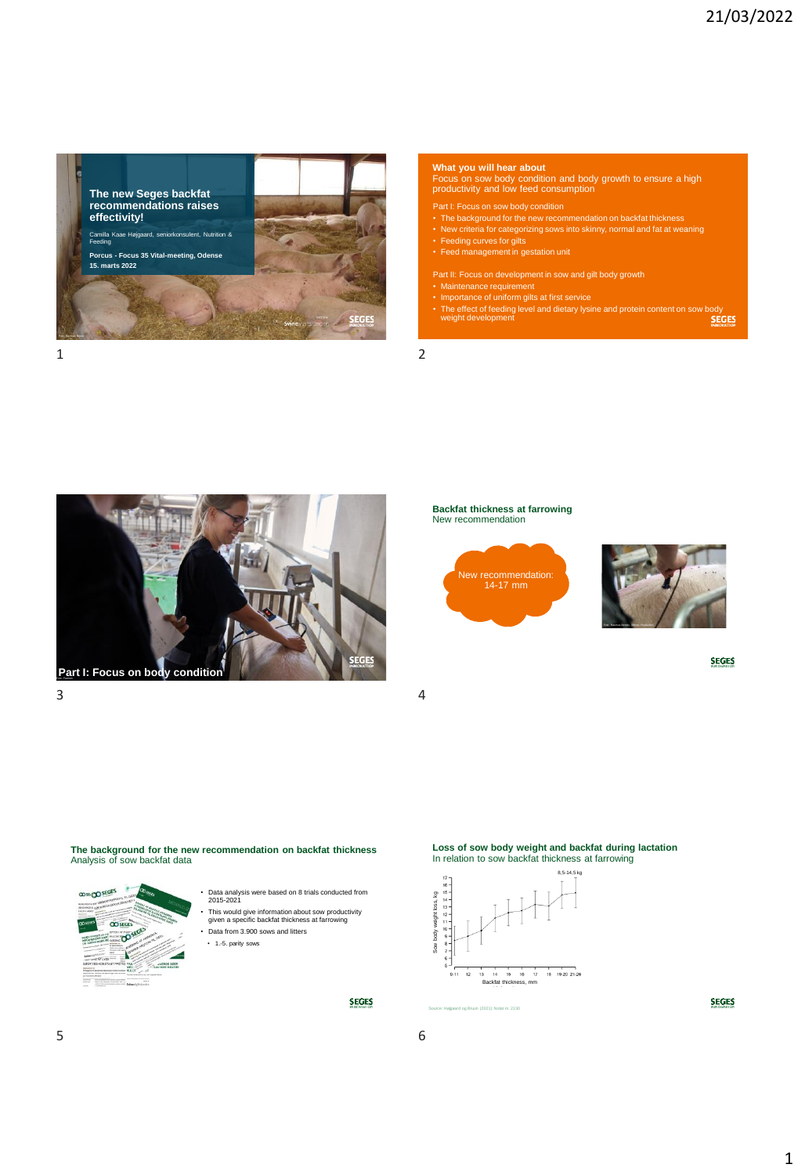

**What you will hear about**

Focus on sow body condition and body growth to ensure a high productivity and low feed consumption

- 
- Part I: Focus on sow body condition<br>• The background for the new recommendation on backfat thickness<br>• New criteria for categorizing sows into skinny, normal and fat at weaning<br>• Feeding curves for gilts<br>• Feed management
- 
- Part II: Focus on development in sow and gilt body growth<br>• Maintenance requirement<br>• Importance of uniform gilts at first service<br>• The effect of feeding level and dietary lysine and protein content on sow body<br>• weight d
- 
- 



### **Backfat thickness at farrowing** New recommendation





**SEGES** 

The background for the new recommendation on backfat thickness Analysis of sow backfat data



- Data analysis were based on 8 trials conducted from 2015-2021 • This would give information about sow productivity given a specific backfat thickness at farrowing • Data from 3.900 sows and litters
- 1.-5. parity sows

**SEGES** 

# **Loss of sow body weight and backfat during lactation** In relation to sow backfat thickness at farrowing



Source: Højgaard og Bruun (2021): Notat nr. 2130



 $5<sub>6</sub>$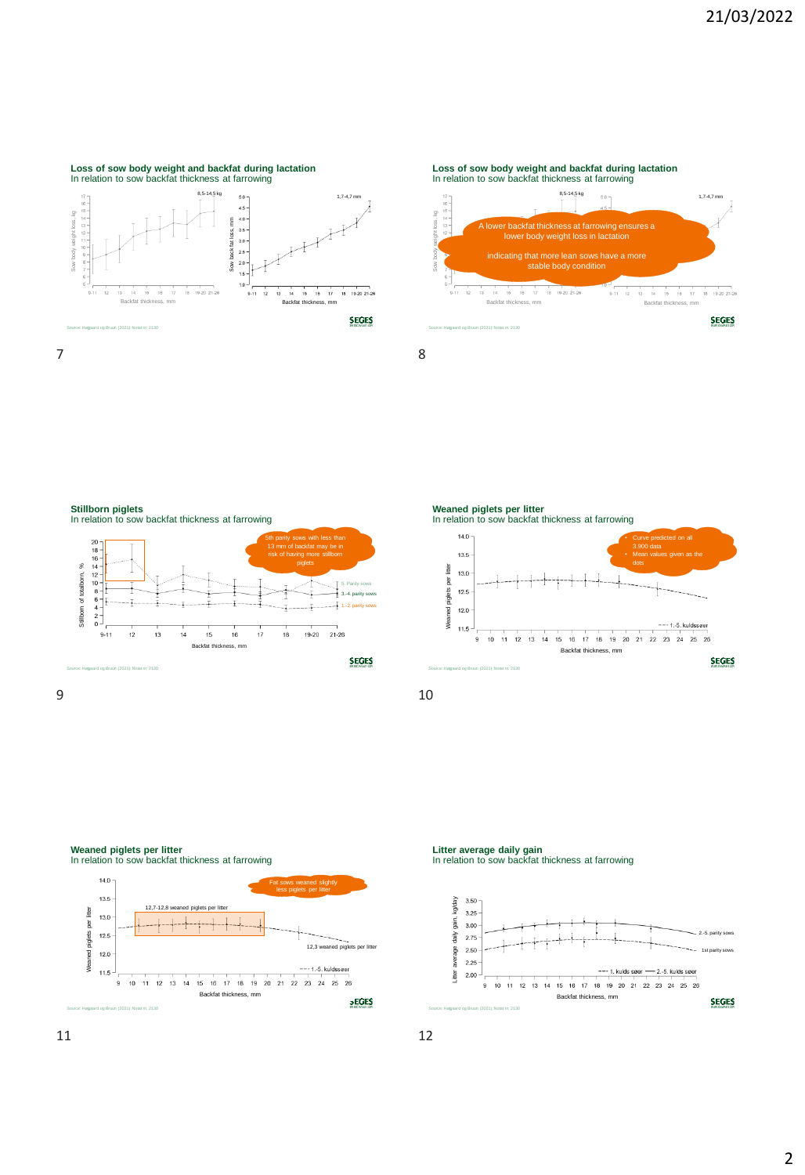#### **Loss of sow body weight and backfat during lactation** In relation to sow backfat thickness at farrowing  $8.5 - 14.5$  kg  $1,7-4,7$  $4.5$ Sow body weight loss, kg Sow body weight loss, kg  $4.0 - 3.5 - 3.0 - 2.5 -$ E Sow back fat loss, mm Sow back fat loss,

 $2.0$  $2.0 -$ <br>1.5 - $1.0$  $19-20$  21-21 Backfat thickness, mm **SEGES** Source: Højgaard og Bruun (2021): Notat nr. 2130  $7$  8

**Loss of sow body weight and backfat during lactation** In relation to sow backfat thickness at farrowing 8,5-14,5 kg 6.0 m  $\overline{S}$ 







### **Weaned piglets per litter**

In relation to sow backfat thickness at farrowing



**Litter average daily gain** In relation to sow backfat thickness at farrowing

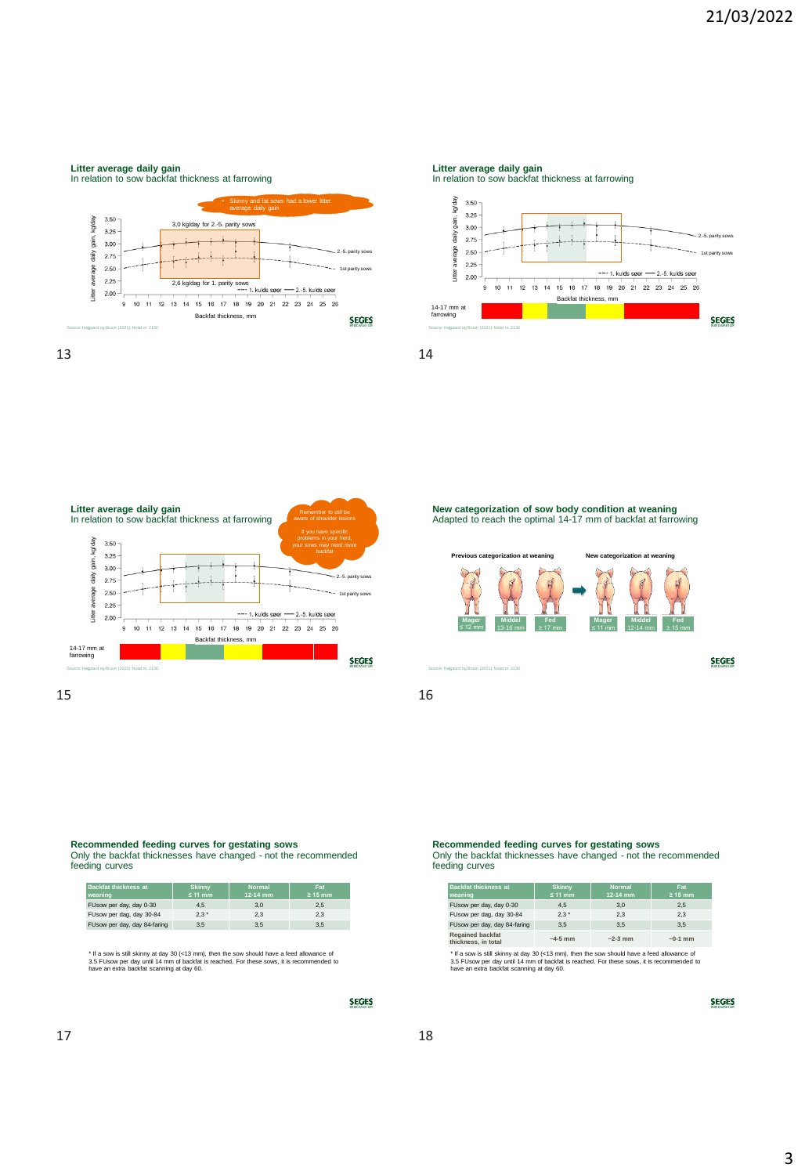# **Litter average daily gain** In relation to sow backfat thickness at farrowing • Skinny and fat sows had a lower litter average daily gain



13 14

**Litter average daily gain** In relation to sow backfat thickness at farrowing





**New categorization of sow body condition at weaning** Adapted to reach the optimal 14-17 mm of backfat at farrowing **Previous categorization at weaning New categorization at weaning Previous categorization at weaning vertex New categorization at weaning Mager Mager Middel Middel Fed Fed Mager Mager Middel Middel Fed Fed**   $\leq$  12 mm ≤ 12 mm 13-16 mm 13-16 mm  $\geq 17$  mm ≥ 17 mm ≤ 11 mm ≤ 11 mm III 1  $12 - 14$  mm  $\geq 15$  mm ≥ 15 mm **SEGES** Source: Højgaard og Bruun (2021): Notat nr. 2130

**Recommended feeding curves for gestating sows** Only the backfat thicknesses have changed - not the recommended feeding curves

| <b>Backfat thickness at</b><br>weaning | <b>Skinny</b><br>≤ 11 mm | <b>Normal</b><br>12-14 mm | <b>Fat</b><br>$\geq 15$ mm |
|----------------------------------------|--------------------------|---------------------------|----------------------------|
| FUsow per day, day 0-30                | 4.5                      | 3.0                       | 2.5                        |
| FUsow per dag, day 30-84               | $2.3*$                   | 2.3                       | 2.3                        |
| FUsow per day, day 84-faring           | 3.5                      | 3.5                       | 3.5                        |

\* If a sow is still skinny at day 30 (<13 mm), then the sow should have a feed allowance of<br>3.5 FUsow per day until 14 mm of backfat is reached. For these sows, it is recommended to<br>have an extra backfat scanning at day 60

**SEGES** 

**Recommended feeding curves for gestating sows** Only the backfat thicknesses have changed - not the recommended feeding curves

| <b>Backfat thickness at</b><br>weaning         | <b>Skinny</b><br>$≤ 11$ mm | <b>Normal</b><br>$12 - 14$ mm | <b>Fat</b><br>$\geq 15$ mm |
|------------------------------------------------|----------------------------|-------------------------------|----------------------------|
| FUsow per day, day 0-30                        | 4.5                        | 3.0                           | 2.5                        |
| FUsow per dag, day 30-84                       | $2.3*$                     | 2.3                           | 2.3                        |
| FUsow per day, day 84-faring                   | 3.5                        | 3.5                           | 3.5                        |
| <b>Regained backfat</b><br>thickness, in total | $-4-5$ mm                  | $~2-3$ mm                     | $~1$ mm                    |

\* If a sow is still skinny at day 30 (<13 mm), then the sow should have a feed allowance of<br>3.5 FUsow per day until 14 mm of backfat is reached. For these sows, it is recommended to<br>have an extra backfat scanning at day 60

**SEGES**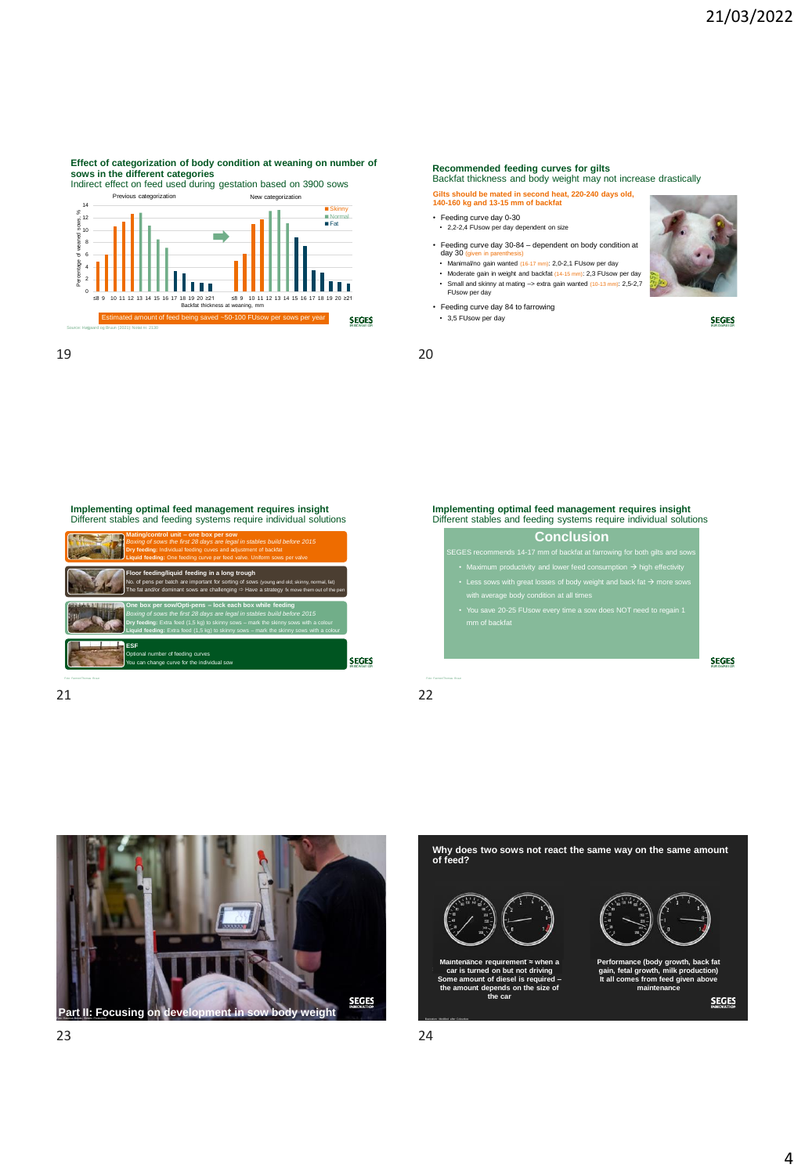# Effect of categorization of body condition at weaning on number of<br>sows in the different categories<br>Indirect effect on feed used during gestation based on 3900 sows

Previous categorization New categorization



19 20

### **Recommended feeding curves for gilts**

Backfat thickness and body weight may not increase drastically

## **Gilts should be mated in second heat, 220-240 days old, 140-160 kg and 13-15 mm of backfat**

- Feeding curve day 0-30 2,2-2,4 FUsow per day dependent on size
- 
- Feeding curve day 30-84 dependent on body condition at day 30 (given in parenthesis) Manimal/no gain wanted (16-17 mm): 2,0-2,1 FUsow per day
- 
- Moderate gain in weight and backfat (14-15 mm): 2,3 FUsow per day Small and skinny at mating –> extra gain wanted (10-13 mm): 2,5-2,7 FUsow per day
- Feeding curve day 84 to farrowing • 3,5 FUsow per day



**SEGES** 

**SEGES** 



21 22



**Implementing optimal feed management requires insight**  Different stables and feeding systems require individual solutions

• You save 20-25 FUsow every time a sow does NOT need to regain 1 mu save 20-23<br>mm of backfat



Why does two sows not react the same way on the same amount **of feed?** Maintenance requirement  $\approx$  when a<br>car is turned on but not driving<br>Some amount of diesel is required –<br>the amount depends on the size of **Performance (body growth, back fat gain, fetal growth, milk production) It all comes from feed given above maintenance the car SEGES** 

Illustration: Modified after Colourbox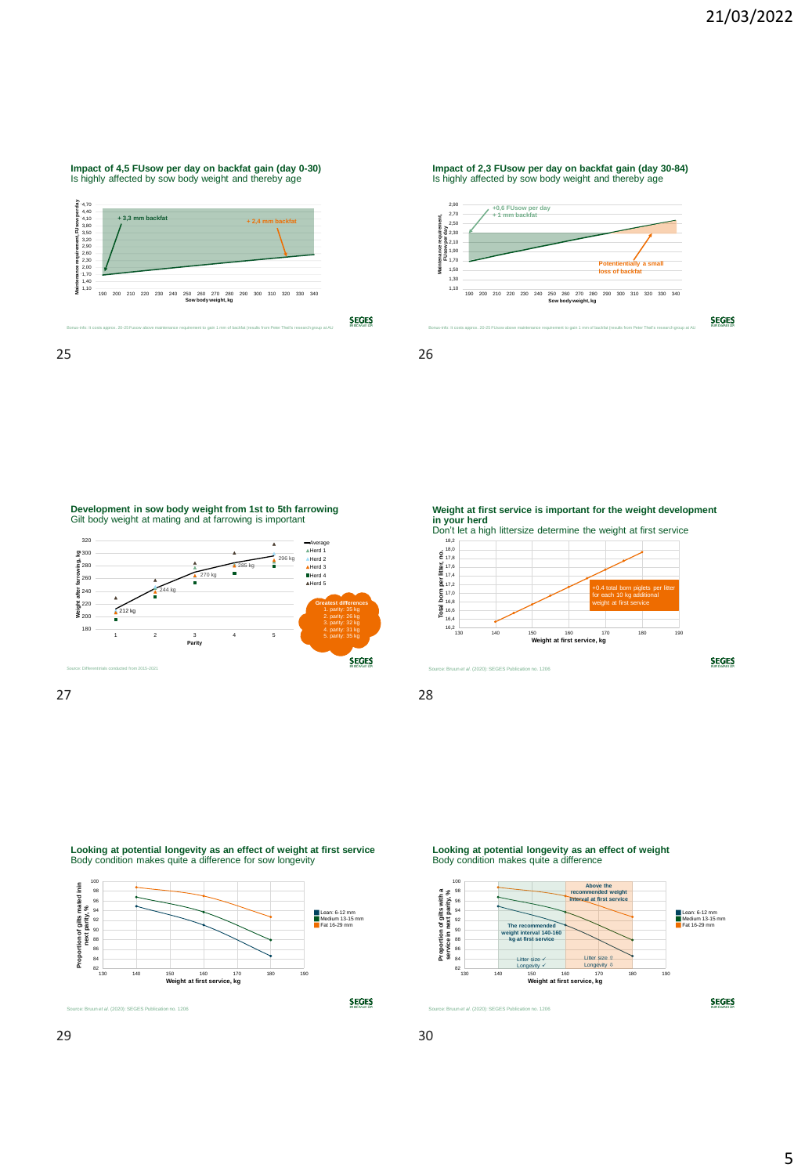**SEGES** 

### **Impact of 4,5 FUsow per day on backfat gain (day 0-30)**  Is highly affected by sow body weight and thereby age



25 26

**Impact of 2,3 FUsow per day on backfat gain (day 30-84)**  Is highly affected by sow body weight and thereby age



**Development in sow body weight from 1st to 5th farrowing** Gilt body weight at mating and at farrowing is important



Weight at first service is important for the weight development **in your herd** Don't let a high littersize determine the weight at first service



Source: Bruun *et al.* (2020): SEGES Publication no. 1206

Looking at potential longevity as an effect of weight at first service Body condition makes quite a difference for sow longevity



Looking at potential longevity as an effect of weight Body condition makes quite a difference

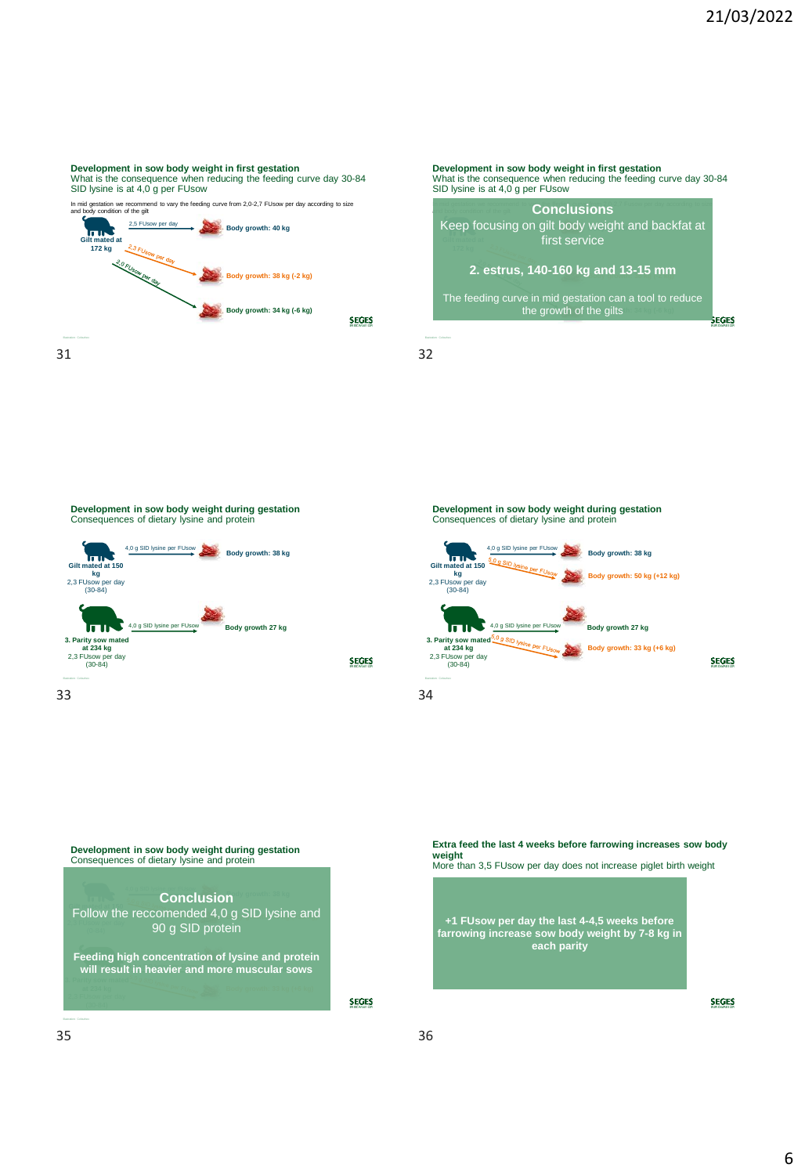### Development in sow body weight in first gestation

What is the consequence when reducing the feeding curve day 30-84 SID lysine is at 4,0 g per FUsow

In mid gestation we recommend to vary the feeding curve from 2,0-2,7 FUsow per day according to size and body condition of the gilt